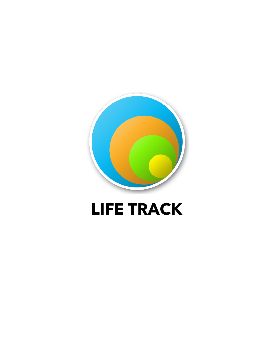

# **LIFE TRACK**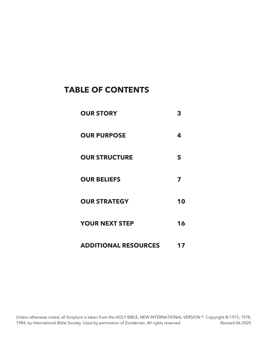## **TABLE OF CONTENTS**

| <b>OUR STORY</b>            | 3  |
|-----------------------------|----|
| <b>OUR PURPOSE</b>          | 4  |
| <b>OUR STRUCTURE</b>        | 5  |
| <b>OUR BELIEFS</b>          | 7  |
| <b>OUR STRATEGY</b>         | 10 |
| <b>YOUR NEXT STEP</b>       | 16 |
| <b>ADDITIONAL RESOURCES</b> |    |

Unless otherwise noted, all Scripture is taken from the HOLY BIBLE, NEW INTERNATIONAL VERSION ®. Copyright © 1973, 1978, 1984, by International Bible Society. Used by permission of Zondervan. All rights reserved. Revised 06-2020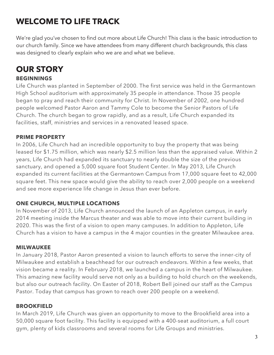## **WELCOME TO LIFE TRACK**

We're glad you've chosen to find out more about Life Church! This class is the basic introduction to our church family. Since we have attendees from many different church backgrounds, this class was designed to clearly explain who we are and what we believe.

## **OUR STORY**

## **BEGINNINGS**

Life Church was planted in September of 2000. The first service was held in the Germantown High School auditorium with approximately 35 people in attendance. Those 35 people began to pray and reach their community for Christ. In November of 2002, one hundred people welcomed Pastor Aaron and Tammy Cole to become the Senior Pastors of Life Church. The church began to grow rapidly, and as a result, Life Church expanded its facilities, staff, ministries and services in a renovated leased space.

## **PRIME PROPERTY**

In 2006, Life Church had an incredible opportunity to buy the property that was being leased for \$1.75 million, which was nearly \$2.5 million less than the appraised value. Within 2 years, Life Church had expanded its sanctuary to nearly double the size of the previous sanctuary, and opened a 5,000 square foot Student Center. In May 2013, Life Church expanded its current facilities at the Germantown Campus from 17,000 square feet to 42,000 square feet. This new space would give the ability to reach over 2,000 people on a weekend and see more experience life change in Jesus than ever before.

## **ONE CHURCH, MULTIPLE LOCATIONS**

In November of 2013, Life Church announced the launch of an Appleton campus, in early 2014 meeting inside the Marcus theater and was able to move into their current building in 2020. This was the first of a vision to open many campuses. In addition to Appleton, Life Church has a vision to have a campus in the 4 major counties in the greater Milwaukee area.

## **MILWAUKEE**

In January 2018, Pastor Aaron presented a vision to launch efforts to serve the inner-city of Milwaukee and establish a beachhead for our outreach endeavors. Within a few weeks, that vision became a reality. In February 2018, we launched a campus in the heart of Milwaukee. This amazing new facility would serve not only as a building to hold church on the weekends, but also our outreach facility. On Easter of 2018, Robert Bell joined our staff as the Campus Pastor. Today that campus has grown to reach over 200 people on a weekend.

## **BROOKFIELD**

In March 2019, Life Church was given an opportunity to move to the Brookfield area into a 50,000 square foot facility. This facility is equipped with a 400-seat auditorium, a full court gym, plenty of kids classrooms and several rooms for Life Groups and ministries.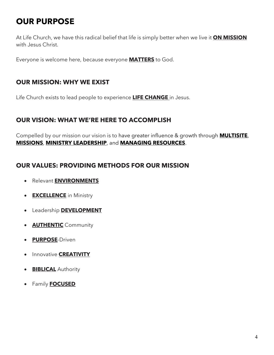## **OUR PURPOSE**

At Life Church, we have this radical belief that life is simply better when we live it **ON MISSION** with Jesus Christ.

Everyone is welcome here, because everyone **MATTERS** to God.

## **OUR MISSION: WHY WE EXIST**

Life Church exists to lead people to experience **LIFE CHANGE** in Jesus.

## **OUR VISION: WHAT WE'RE HERE TO ACCOMPLISH**

Compelled by our mission our vision is to have greater influence & growth through **MULTISITE**, **MISSIONS**, **MINISTRY LEADERSHIP**, and **MANAGING RESOURCES**.

## **OUR VALUES: PROVIDING METHODS FOR OUR MISSION**

- Relevant **ENVIRONMENTS**
- **EXCELLENCE** in Ministry
- Leadership **DEVELOPMENT**
- **AUTHENTIC** Community
- **PURPOSE**-Driven
- Innovative **CREATIVITY**
- **BIBLICAL** Authority
- Family **FOCUSED**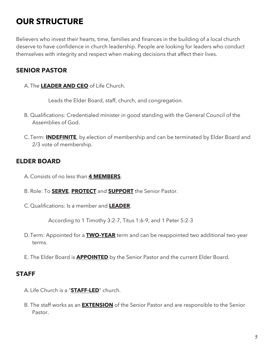## **OUR STRUCTURE**

Believers who invest their hearts, time, families and finances in the building of a local church deserve to have confidence in church leadership. People are looking for leaders who conduct themselves with integrity and respect when making decisions that affect their lives.

## **SENIOR PASTOR**

A. The **LEADER AND CEO** of Life Church.

Leads the Elder Board, staff, church, and congregation.

- B. Qualifications: Credentialed minister in good standing with the General Council of the Assemblies of God.
- C. Term: **INDEFINITE**, by election of membership and can be terminated by Elder Board and 2/3 vote of membership.

## **ELDER BOARD**

- A. Consists of no less than **4 MEMBERS**.
- B. Role: To **SERVE**, **PROTECT** and **SUPPORT** the Senior Pastor.
- C. Qualifications: Is a member and **LEADER**.

According to 1 Timothy 3:2-7, Titus 1:6-9, and 1 Peter 5:2-3

- D.Term: Appointed for a **TWO-YEAR** term and can be reappointed two additional two-year terms.
- E. The Elder Board is **APPOINTED** by the Senior Pastor and the current Elder Board.

## **STAFF**

- A. Life Church is a "**STAFF-LED**" church.
- B. The staff works as an **EXTENSION** of the Senior Pastor and are responsible to the Senior Pastor.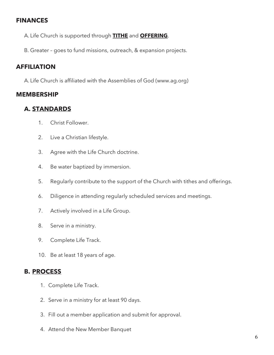## **FINANCES**

A. Life Church is supported through **TITHE** and **OFFERING**.

B. Greater – goes to fund missions, outreach, & expansion projects.

## **AFFILIATION**

A. Life Church is affiliated with the Assemblies of God (www.ag.org)

## **MEMBERSHIP**

## **A. STANDARDS**

- 1. Christ Follower.
- 2. Live a Christian lifestyle.
- 3. Agree with the Life Church doctrine.
- 4. Be water baptized by immersion.
- 5. Regularly contribute to the support of the Church with tithes and offerings.
- 6. Diligence in attending regularly scheduled services and meetings.
- 7. Actively involved in a Life Group.
- 8. Serve in a ministry.
- 9. Complete Life Track.
- 10. Be at least 18 years of age.

## **B. PROCESS**

- 1. Complete Life Track.
- 2. Serve in a ministry for at least 90 days.
- 3. Fill out a member application and submit for approval.
- 4. Attend the New Member Banquet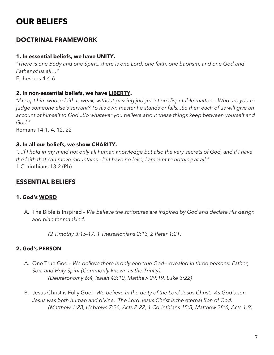## **OUR BELIEFS**

## **DOCTRINAL FRAMEWORK**

#### **1. In essential beliefs, we have UNITY.**

*"There is one Body and one Spirit...there is one Lord, one faith, one baptism, and one God and Father of us all…"*  Ephesians 4:4-6

#### **2. In non-essential beliefs, we have LIBERTY.**

*"Accept him whose faith is weak, without passing judgment on disputable matters...Who are you to judge someone else's servant? To his own master he stands or falls...So then each of us will give an account of himself to God...So whatever you believe about these things keep between yourself and God."* 

Romans 14:1, 4, 12, 22

#### **3. In all our beliefs, we show CHARITY.**

*"...If I hold in my mind not only all human knowledge but also the very secrets of God, and if I have the faith that can move mountains - but have no love, I amount to nothing at all."* 1 Corinthians 13:2 (Ph)

## **ESSENTIAL BELIEFS**

#### **1. God's WORD**

A. The Bible is Inspired – *We believe the scriptures are inspired by God and declare His design and plan for mankind.*

*(2 Timothy 3:15-17, 1 Thessalonians 2:13, 2 Peter 1:21)*

#### **2. God's PERSON**

- A. One True God *We believe there is only one true God—revealed in three persons: Father, Son, and Holy Spirit (Commonly known as the Trinity). (Deuteronomy 6:4, Isaiah 43:10, Matthew 29:19, Luke 3:22)*
- B. Jesus Christ is Fully God *We believe In the deity of the Lord Jesus Christ. As God's son, Jesus was both human and divine. The Lord Jesus Christ is the eternal Son of God. (Matthew 1:23, Hebrews 7:26, Acts 2:22, 1 Corinthians 15:3, Matthew 28:6, Acts 1:9)*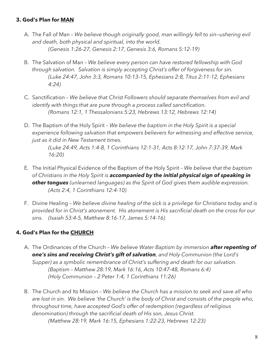#### **3. God's Plan for MAN**

- A. The Fall of Man *We believe though originally good, man willingly fell to sin—ushering evil and death, both physical and spiritual, into the world. (Genesis 1:26-27, Genesis 2:17, Genesis 3:6, Romans 5:12-19)*
- B. The Salvation of Man *We believe every person can have restored fellowship with God through salvation. Salvation is simply accepting Christ's offer of forgiveness for sin. (Luke 24:47, John 3:3, Romans 10:13-15, Ephesians 2:8, Titus 2:11-12, Ephesians 4:24)*
- C. Sanctification *We believe that Christ Followers should separate themselves from evil and identify with things that are pure through a process called sanctification. (Romans 12:1, 1 Thessalonians 5:23, Hebrews 13:12, Hebrews 12:14)*
- D. The Baptism of the Holy Spirit *We believe the baptism in the Holy Spirit is a special experience following salvation that empowers believers for witnessing and effective service, just as it did in New Testament times.*

*(Luke 24:49, Acts 1:4-8, 1 Corinthians 12:1-31, Acts 8:12-17, John 7:37-39, Mark 16:20)*

- E. The Initial Physical Evidence of the Baptism of the Holy Spirit *We believe that the baptism of Christians in the Holy Spirit is accompanied by the initial physical sign of speaking in other tongues (unlearned languages) as the Spirit of God gives them audible expression. (Acts 2:4, 1 Corinthians 12:4-10)*
- F. Divine Healing *We believe divine healing of the sick is a privilege for Christians today and is provided for in Christ's atonement. His atonement is His sacrificial death on the cross for our sins. (Isaiah 53:4-5, Matthew 8:16-17, James 5:14-16)*

#### **4. God's Plan for the CHURCH**

- A. The Ordinances of the Church *We believe Water Baptism by immersion after repenting of one's sins and receiving Christ's gift of salvation, and Holy Communion (the Lord's Supper) as a symbolic remembrance of Christ's suffering and death for our salvation. (Baptism – Matthew 28:19, Mark 16:16, Acts 10:47-48, Romans 6:4) (Holy Communion – 2 Peter 1:4, 1 Corinthians 11:26)*
- B. The Church and Its Mission *We believe the Church has a mission to seek and save all who are lost in sin. We believe 'the Church' is the body of Christ and consists of the people who, throughout time, have accepted God's offer of redemption (regardless of religious denomination) through the sacrificial death of His son, Jesus Christ. (Matthew 28:19, Mark 16:15, Ephesians 1:22-23, Hebrews 12:23)*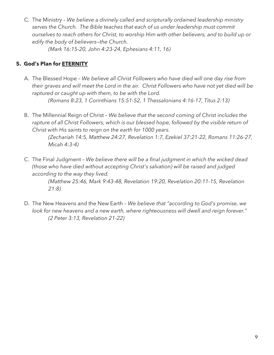C. The Ministry – *We believe a divinely called and scripturally ordained leadership ministry serves the Church. The Bible teaches that each of us under leadership must commit ourselves to reach others for Christ, to worship Him with other believers, and to build up or edify the body of believers—the Church.*

*(Mark 16:15-20, John 4:23-24, Ephesians 4:11, 16)*

## **5. God's Plan for ETERNITY**

- A. The Blessed Hope *We believe all Christ Followers who have died will one day rise from their graves and will meet the Lord in the air. Christ Followers who have not yet died will be raptured or caught up with them, to be with the Lord. (Romans 8:23, 1 Corinthians 15:51-52, 1 Thessalonians 4:16-17, Titus 2:13)*
- B. The Millennial Reign of Christ *We believe that the second coming of Christ includes the rapture of all Christ Followers, which is our blessed hope, followed by the visible return of Christ with His saints to reign on the earth for 1000 years.*

*(Zechariah 14:5, Matthew 24:27, Revelation 1:7, Ezekiel 37:21-22, Romans 11:26-27, Micah 4:3-4)*

C. The Final Judgment – *We believe there will be a final judgment in which the wicked dead (those who have died without accepting Christ's salvation) will be raised and judged according to the way they lived.*

> *(Matthew 25:46, Mark 9:43-48, Revelation 19:20, Revelation 20:11-15, Revelation 21:8)*

D. The New Heavens and the New Earth – *We believe that "according to God's promise, we look for new heavens and a new earth, where righteousness will dwell and reign forever." (2 Peter 3:13, Revelation 21-22)*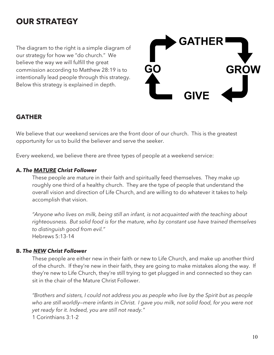## **OUR STRATEGY**

The diagram to the right is a simple diagram of our strategy for how we "do church." We believe the way we will fulfill the great commission according to Matthew 28:19 is to intentionally lead people through this strategy. Below this strategy is explained in depth.



## **GATHER**

We believe that our weekend services are the front door of our church. This is the greatest opportunity for us to build the believer and serve the seeker.

Every weekend, we believe there are three types of people at a weekend service:

#### **A.** *The MATURE Christ Follower*

These people are mature in their faith and spiritually feed themselves. They make up roughly one third of a healthy church. They are the type of people that understand the overall vision and direction of Life Church, and are willing to do whatever it takes to help accomplish that vision.

*"Anyone who lives on milk, being still an infant, is not acquainted with the teaching about righteousness. But solid food is for the mature, who by constant use have trained themselves to distinguish good from evil."* Hebrews 5:13-14

#### **B.** *The NEW Christ Follower*

These people are either new in their faith or new to Life Church, and make up another third of the church. If they're new in their faith, they are going to make mistakes along the way. If they're new to Life Church, they're still trying to get plugged in and connected so they can sit in the chair of the Mature Christ Follower.

*"Brothers and sisters, I could not address you as people who live by the Spirit but as people who are still worldly—mere infants in Christ. I gave you milk, not solid food, for you were not yet ready for it. Indeed, you are still not ready."* 1 Corinthians 3:1-2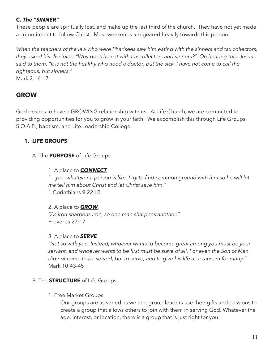## **C.** *The "SINNER"*

These people are spiritually lost, and make up the last third of the church. They have not yet made a commitment to follow Christ. Most weekends are geared heavily towards this person.

*When the teachers of the law who were Pharisees saw him eating with the sinners and tax collectors, they asked his disciples: "Why does he eat with tax collectors and sinners?" On hearing this, Jesus said to them, "It is not the healthy who need a doctor, but the sick. I have not come to call the righteous, but sinners."* Mark 2:16-17

## **GROW**

God desires to have a GROWING relationship with us. At Life Church, we are committed to providing opportunities for you to grow in your faith. We accomplish this through Life Groups, S.O.A.P., baptism, and Life Leadership College.

## **1. LIFE GROUPS**

## A. The **PURPOSE** of Life Groups

#### 1. A place to *CONNECT.*

*"…yes, whatever a person is like, I try to find common ground with him so he will let me tell him about Christ and let Christ save him."*  1 Corinthians 9:22 LB

#### 2. A place to *GROW.*

*"As iron sharpens iron, so one man sharpens another."*  Proverbs 27:17

#### 3. A place to *SERVE.*

*"Not so with you. Instead, whoever wants to become great among you must be your servant, and whoever wants to be first must be slave of all. For even the Son of Man did not come to be served, but to serve, and to give his life as a ransom for many."* Mark 10:43-45

## B. The **STRUCTURE** of Life Groups.

1. Free Market Groups

Our groups are as varied as we are; group leaders use their gifts and passions to create a group that allows others to join with them in serving God. Whatever the age, interest, or location, there is a group that is just right for you.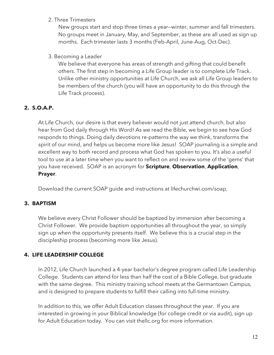#### 2. Three Trimesters

New groups start and stop three times a year—winter, summer and fall trimesters. No groups meet in January, May, and September, as these are all used as sign up months. Each trimester lasts 3 months (Feb-April, June-Aug, Oct-Dec).

#### 3. Becoming a Leader

We believe that everyone has areas of strength and gifting that could benefit others. The first step in becoming a Life Group leader is to complete Life Track. Unlike other ministry opportunities at Life Church, we ask all Life Group leaders to be members of the church (you will have an opportunity to do this through the Life Track process).

## **2. S.O.A.P.**

At Life Church, our desire is that every believer would not just attend church, but also hear from God daily through His Word! As we read the Bible, we begin to see how God responds to things. Doing daily devotions re-patterns the way we think, transforms the spirit of our mind, and helps us become more like Jesus! SOAP journaling is a simple and excellent way to both record and process what God has spoken to you. It's also a useful tool to use at a later time when you want to reflect on and review some of the 'gems' that you have received. SOAP is an acronym for **Scripture**, **Observation**, **Application**, **Prayer**.

Download the current SOAP guide and instructions at lifechurchwi.com/soap.

## **3. BAPTISM**

We believe every Christ Follower should be baptized by immersion after becoming a Christ Follower. We provide baptism opportunities all throughout the year, so simply sign up when the opportunity presents itself. We believe this is a crucial step in the discipleship process (becoming more like Jesus).

## **4. LIFE LEADERSHIP COLLEGE**

In 2012, Life Church launched a 4-year bachelor's degree program called Life Leadership College. Students can attend for less than half the cost of a Bible College, but graduate with the same degree. This ministry training school meets at the Germantown Campus, and is designed to prepare students to fulfill their calling into full-time ministry.

In addition to this, we offer Adult Education classes throughout the year. If you are interested in growing in your Biblical knowledge (for college credit or via audit), sign up for Adult Education today. You can visit thellc.org for more information.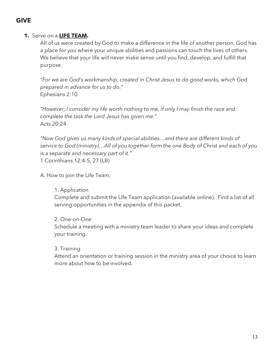## **GIVE**

### **1.** Serve on a **LIFE TEAM.**

All of us were created by God to make a difference in the life of another person. God has a place for you where your unique abilities and passions can touch the lives of others. We believe that your life will never make sense until you find, develop, and fulfill that purpose.

*"For we are God's workmanship, created in Christ Jesus to do good works, which God prepared in advance for us to do."*  Ephesians 2:10

*"However, I consider my life worth nothing to me, if only I may finish the race and complete the task the Lord Jesus has given me."*  Acts 20:24

*"Now God gives us many kinds of special abilities…and there are different kinds of service to God (ministry)…All of you together form the one Body of Christ and each of you is a separate and necessary part of it."* 1 Corinthians 12:4-5, 27 (LB)

A. How to join the Life Team.

#### 1. Application

Complete and submit the Life Team application (available online). Find a list of all serving opportunities in the appendix of this packet.

#### 2. One-on-One

Schedule a meeting with a ministry team leader to share your ideas and complete your training.

#### 3. Training

Attend an orientation or training session in the ministry area of your choice to learn more about how to be involved.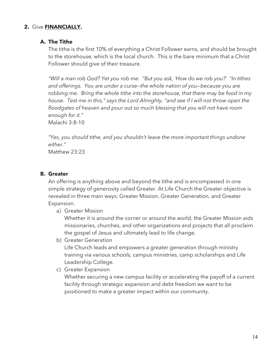#### **2.** Give **FINANCIALLY.**

#### **A. The Tithe**

The tithe is the first 10% of everything a Christ Follower earns, and should be brought to the storehouse, which is the local church. This is the bare minimum that a Christ Follower should give of their treasure.

*"Will a man rob God? Yet you rob me. "But you ask, 'How do we rob you?' "In tithes and offerings. You are under a curse—the whole nation of you—because you are robbing me. Bring the whole tithe into the storehouse, that there may be food in my house. Test me in this," says the Lord Almighty, "and see if I will not throw open the floodgates of heaven and pour out so much blessing that you will not have room enough for it."*

Malachi 3:8-10

*"Yes, you should tithe, and you shouldn't leave the more important things undone either."* 

Matthew 23:23

#### **B. Greater**

An offering is anything above and beyond the tithe and is encompassed in one simple strategy of generosity called Greater. At Life Church the Greater objective is revealed in three main ways; Greater Mission, Greater Generation, and Greater Expansion.

a) Greater Mission

Whether it is around the corner or around the world, the Greater Mission aids missionaries, churches, and other organizations and projects that all proclaim the gospel of Jesus and ultimately lead to life change.

b) Greater Generation

Life Church leads and empowers a greater generation through ministry training via various schools, campus ministries, camp scholarships and Life Leadership College.

c) Greater Expansion

Whether securing a new campus facility or accelerating the payoff of a current facility through strategic expansion and debt freedom we want to be positioned to make a greater impact within our community.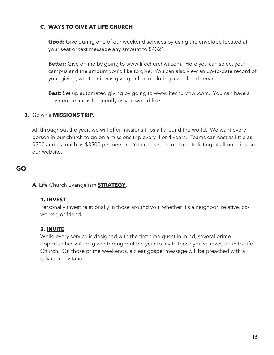## **C. WAYS TO GIVE AT LIFE CHURCH**

**Good:** Give during one of our weekend services by using the envelope located at your seat or text message any amount to 84321.

**Better:** Give online by going to www.lifechurchwi.com. Here you can select your campus and the amount you'd like to give. You can also view an up-to-date record of your giving, whether it was giving online or during a weekend service.

**Best:** Set up automated giving by going to www.lifechurchwi.com. You can have a payment recur as frequently as you would like.

#### **3.** Go on a **MISSIONS TRIP.**

All throughout the year, we will offer missions trips all around the world. We want every person in our church to go on a missions trip every 3 or 4 years. Teams can cost as little as \$500 and as much as \$3500 per person. You can see an up to date listing of all our trips on our website.

## **GO**

**A.** Life Church Evangelism **STRATEGY**.

#### **1. INVEST**

Personally invest relationally in those around you, whether it's a neighbor, relative, coworker, or friend.

#### **2. INVITE**

While every service is designed with the first time guest in mind, several prime opportunities will be given throughout the year to invite those you've invested in to Life Church. On those prime weekends, a clear gospel message will be preached with a salvation invitation.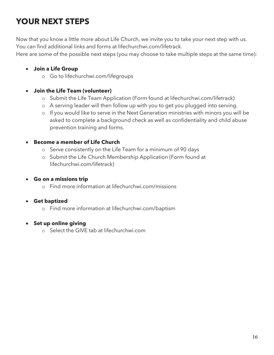## **YOUR NEXT STEPS**

Now that you know a little more about Life Church, we invite you to take your next step with us. You can find additional links and forms at lifechurchwi.com/lifetrack.

Here are some of the possible next steps (you may choose to take multiple steps at the same time):

## • **Join a Life Group**

o Go to lifechurchwi.com/lifegroups

## • **Join the Life Team (volunteer)**

- o Submit the Life Team Application (Form found at lifechurchwi.com/lifetrack)
- o A serving leader will then follow up with you to get you plugged into serving.
- o If you would like to serve in the Next Generation ministries with minors you will be asked to complete a background check as well as confidentiality and child abuse prevention training and forms.

## • **Become a member of Life Church**

- o Serve consistently on the Life Team for a minimum of 90 days
- o Submit the Life Church Membership Application (Form found at lifechurchwi.com/lifetrack)

## • **Go on a missions trip**

o Find more information at lifechurchwi.com/missions

## • **Get baptized**

o Find more information at lifechurchwi.com/baptism

## • **Set up online giving**

o Select the GIVE tab at lifechurchwi.com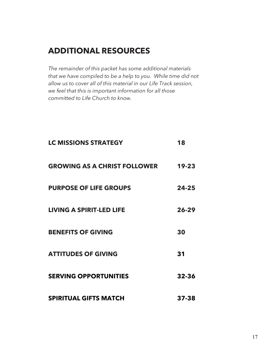## **ADDITIONAL RESOURCES**

*The remainder of this packet has some additional materials that we have compiled to be a help to you. While time did not allow us to cover all of this material in our Life Track session, we feel that this is important information for all those committed to Life Church to know.*

| <b>LC MISSIONS STRATEGY</b>         | 18        |
|-------------------------------------|-----------|
| <b>GROWING AS A CHRIST FOLLOWER</b> | $19 - 23$ |
| <b>PURPOSE OF LIFE GROUPS</b>       | $24 - 25$ |
| <b>LIVING A SPIRIT-LED LIFE</b>     | $26 - 29$ |
| <b>BENEFITS OF GIVING</b>           | 30        |
| <b>ATTITUDES OF GIVING</b>          | 31        |
| <b>SERVING OPPORTUNITIES</b>        | 32-36     |
| <b>SPIRITUAL GIFTS MATCH</b>        | 37-38     |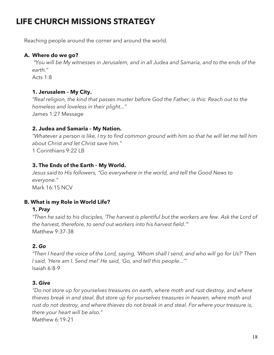## **LIFE CHURCH MISSIONS STRATEGY**

Reaching people around the corner and around the world.

## **A. Where do we go?**

*"You will be My witnesses in Jerusalem, and in all Judea and Samaria, and to the ends of the earth."* 

Acts  $1:8$ 

### **1. Jerusalem – My City.**

*"Real religion, the kind that passes muster before God the Father, is this: Reach out to the homeless and loveless in their plight..."*  James 1:27 Message

### **2. Judea and Samaria – My Nation.**

*"Whatever a person is like, I try to find common ground with him so that he will let me tell him about Christ and let Christ save him."*  1 Corinthians 9:22 LB

### **3. The Ends of the Earth – My World.**

*Jesus said to His followers, "Go everywhere in the world, and tell the Good News to everyone."*  Mark 16:15 NCV

## **B. What is my Role in World Life?**

## **1.** *Pray*

*"Then he said to his disciples, 'The harvest is plentiful but the workers are few. Ask the Lord of the harvest, therefore, to send out workers into his harvest field.'"*  Matthew 9:37-38

## **2.** *Go*

*"Then I heard the voice of the Lord, saying, 'Whom shall I send, and who will go for Us?' Then I said, 'Here am I. Send me!' He said, 'Go, and tell this people...'"*  Isaiah 6:8-9

#### **3.** *Give*

*"Do not store up for yourselves treasures on earth, where moth and rust destroy, and where thieves break in and steal. But store up for yourselves treasures in heaven, where moth and rust do not destroy, and where thieves do not break in and steal. For where your treasure is, there your heart will be also."*  Matthew 6:19-21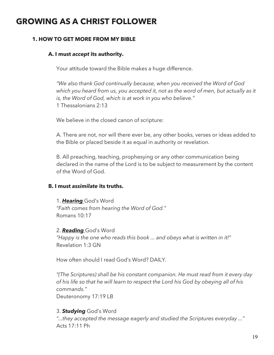## **GROWING AS A CHRIST FOLLOWER**

#### **1. HOW TO GET MORE FROM MY BIBLE**

#### **A. I must** *accept* **its authority.**

Your attitude toward the Bible makes a huge difference.

*"We also thank God continually because, when you received the Word of God which you heard from us, you accepted it, not as the word of men, but actually as it is, the Word of God, which is at work in you who believe."* 1 Thessalonians 2:13

We believe in the closed canon of scripture:

A. There are not, nor will there ever be, any other books, verses or ideas added to the Bible or placed beside it as equal in authority or revelation.

B. All preaching, teaching, prophesying or any other communication being declared in the name of the Lord is to be subject to measurement by the content of the Word of God.

#### **B. I must** *assimilate* **its truths.**

1. *Hearing* God's Word *"Faith comes from hearing the Word of God."*  Romans 10:17

2. *Reading* God's Word *"Happy is the one who reads this book ... and obeys what is written in it!"* Revelation 1:3 GN

How often should I read God's Word? DAILY.

*"(The Scriptures) shall be his constant companion. He must read from it every day of his life so that he will learn to respect the Lord his God by obeying all of his commands."* 

Deuteronomy 17:19 LB

#### 3. *Studying* God's Word

*"...they accepted the message eagerly and studied the Scriptures everyday ..."*  Acts 17:11 Ph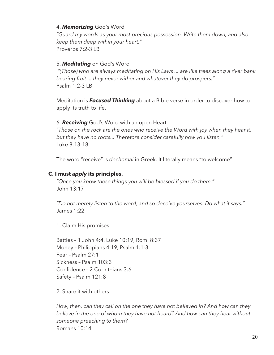#### 4. *Memorizing* God's Word

*"Guard my words as your most precious possession. Write them down, and also keep them deep within your heart."*  Proverbs 7:2-3 LB

#### 5. *Meditating* on God's Word

*"(Those) who are always meditating on His Laws ... are like trees along a river bank bearing fruit ... they never wither and whatever they do prospers."*  Psalm 1:2-3 LB

Meditation is *Focused Thinking* about a Bible verse in order to discover how to apply its truth to life.

#### 6. *Receiving* God's Word with an open Heart

*"Those on the rock are the ones who receive the Word with joy when they hear it, but they have no roots... Therefore consider carefully how you listen."* Luke 8:13-18

The word "receive" is *dechomai* in Greek. It literally means "to welcome"

#### **C. I must** *apply* **its principles.**

*"Once you know these things you will be blessed if you do them."* John 13:17

*"Do not merely listen to the word, and so deceive yourselves. Do what it says."* James 1:22

1. Claim His promises

Battles – 1 John 4:4, Luke 10:19, Rom. 8:37 Money – Philippians 4:19, Psalm 1:1-3 Fear – Psalm 27:1 Sickness – Psalm 103:3 Confidence – 2 Corinthians 3:6 Safety – Psalm 121:8

2. Share it with others

*How, then, can they call on the one they have not believed in? And how can they believe in the one of whom they have not heard? And how can they hear without someone preaching to them?* Romans 10:14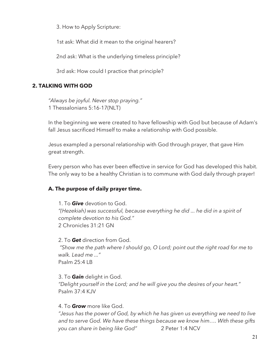3. How to Apply Scripture:

1st ask: What did it mean to the original hearers?

2nd ask: What is the underlying timeless principle?

3rd ask: How could I practice that principle?

### **2. TALKING WITH GOD**

*"Always be joyful. Never stop praying."* 1 Thessalonians 5:16-17(NLT)

In the beginning we were created to have fellowship with God but because of Adam's fall Jesus sacrificed Himself to make a relationship with God possible.

Jesus exampled a personal relationship with God through prayer, that gave Him great strength.

Every person who has ever been effective in service for God has developed this habit. The only way to be a healthy Christian is to commune with God daily through prayer!

#### **A. The purpose of daily prayer time.**

1. To *Give* devotion to God. *"(Hezekiah) was successful, because everything he did ... he did in a spirit of complete devotion to his God."*  2 Chronicles 31:21 GN

2. To *Get* direction from God. *"Show me the path where I should go, O Lord; point out the right road for me to walk. Lead me ..."*  Psalm 25:4 LB

#### 3. To *Gain* delight in God.

*"Delight yourself in the Lord; and he will give you the desires of your heart."*  Psalm 37:4 KJV

#### 4. To *Grow* more like God.

*"Jesus has the power of God, by which he has given us everything we need to live and to serve God. We have these things because we know him…. With these gifts you can share in being like God"* 2 Peter 1:4 NCV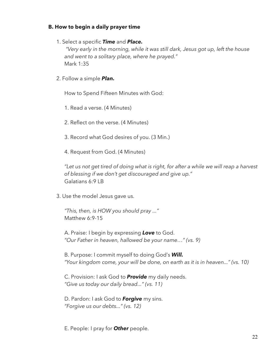#### **B. How to begin a daily prayer time**

1. Select a specific *Time* and *Place.*

*"Very early in the morning, while it was still dark, Jesus got up, left the house and went to a solitary place, where he prayed."*  Mark 1:35

2. Follow a simple *Plan.*

How to Spend Fifteen Minutes with God:

1. Read a verse. (4 Minutes)

2. Reflect on the verse. (4 Minutes)

- 3. Record what God desires of you. (3 Min.)
- 4. Request from God. (4 Minutes)

*"Let us not get tired of doing what is right, for after a while we will reap a harvest of blessing if we don't get discouraged and give up."*  Galatians 6:9 LB

3. Use the model Jesus gave us.

*"This, then, is HOW you should pray ..."* Matthew 6:9-15

A. Praise: I begin by expressing *Love* to God. *"Our Father in heaven, hallowed be your name…" (vs. 9)*

B. Purpose: I commit myself to doing God's *Will. "Your kingdom come, your will be done, on earth as it is in heaven..." (vs. 10)*

C. Provision: I ask God to *Provide* my daily needs. *"Give us today our daily bread..." (vs. 11)*

D. Pardon: I ask God to *Forgive* my sins. *"Forgive us our debts..." (vs. 12)*

E. People: I pray for *Other* people.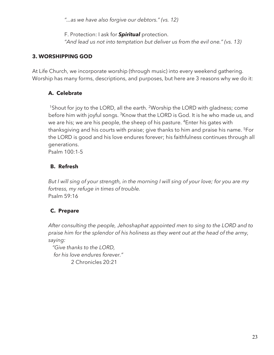*"...as we have also forgive our debtors." (vs. 12)*

F. Protection: I ask for *Spiritual* protection.

*"And lead us not into temptation but deliver us from the evil one." (vs. 13)*

## **3. WORSHIPPING GOD**

At Life Church, we incorporate worship (through music) into every weekend gathering. Worship has many forms, descriptions, and purposes, but here are 3 reasons why we do it:

## **A. Celebrate**

<sup>1</sup>Shout for joy to the LORD, all the earth. <sup>2</sup>Worship the LORD with gladness; come before him with joyful songs. <sup>3</sup>Know that the LORD is God. It is he who made us, and we are his; we are his people, the sheep of his pasture. <sup>4</sup>Enter his gates with thanksgiving and his courts with praise; give thanks to him and praise his name. <sup>5</sup>For the LORD is good and his love endures forever; his faithfulness continues through all generations.

Psalm 100:1-5

## **B. Refresh**

*But I will sing of your strength, in the morning I will sing of your love; for you are my fortress, my refuge in times of trouble.* Psalm 59:16

## **C. Prepare**

*After consulting the people, Jehoshaphat appointed men to sing to the LORD and to praise him for the splendor of his holiness as they went out at the head of the army, saying:*

 *"Give thanks to the LORD, for his love endures forever."* 2 Chronicles 20:21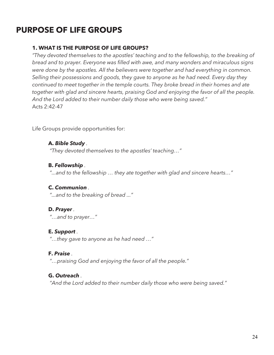## **PURPOSE OF LIFE GROUPS**

#### **1. WHAT IS THE PURPOSE OF LIFE GROUPS?**

*"They devoted themselves to the apostles' teaching and to the fellowship, to the breaking of bread and to prayer. Everyone was filled with awe, and many wonders and miraculous signs were done by the apostles. All the believers were together and had everything in common. Selling their possessions and goods, they gave to anyone as he had need. Every day they continued to meet together in the temple courts. They broke bread in their homes and ate together with glad and sincere hearts, praising God and enjoying the favor of all the people. And the Lord added to their number daily those who were being saved."*  Acts 2:42-47

Life Groups provide opportunities for:

#### **A.** *Bible Study .*

*"They devoted themselves to the apostles' teaching…"*

#### **B.** *Fellowship .*

*"...and to the fellowship … they ate together with glad and sincere hearts…"*

#### **C.** *Communion .*

*"...and to the breaking of bread ..."*

#### **D.** *Prayer .*

*"…and to prayer…"*

#### **E.** *Support .*

*"…they gave to anyone as he had need …"*

#### **F.** *Praise .*

*"…praising God and enjoying the favor of all the people."*

#### **G.** *Outreach .*

*"And the Lord added to their number daily those who were being saved."*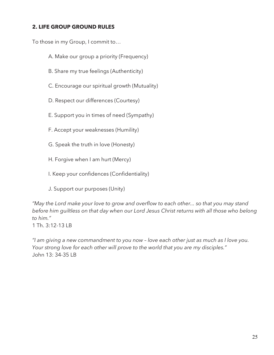## **2. LIFE GROUP GROUND RULES**

To those in my Group, I commit to…

- A. Make our group a priority (Frequency)
- B. Share my true feelings (Authenticity)
- C. Encourage our spiritual growth (Mutuality)
- D. Respect our differences (Courtesy)
- E. Support you in times of need (Sympathy)
- F. Accept your weaknesses (Humility)
- G. Speak the truth in love (Honesty)
- H. Forgive when I am hurt (Mercy)
- I. Keep your confidences (Confidentiality)
- J. Support our purposes (Unity)

*"May the Lord make your love to grow and overflow to each other... so that you may stand before him guiltless on that day when our Lord Jesus Christ returns with all those who belong to him."*

1 Th. 3:12-13 LB

*"I am giving a new commandment to you now – love each other just as much as I love you. Your strong love for each other will prove to the world that you are my disciples."*  John 13: 34-35 LB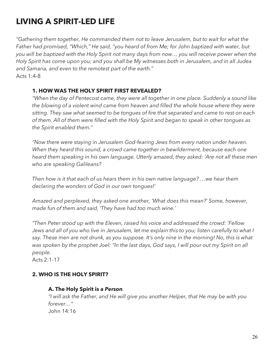## **LIVING A SPIRIT-LED LIFE**

*"Gathering them together, He commanded them not to leave Jerusalem, but to wait for what the Father had promised, "Which," He said, "you heard of from Me; for John baptized with water, but you will be baptized with the Holy Spirit not many days from now… you will receive power when the Holy Spirit has come upon you; and you shall be My witnesses both in Jerusalem, and in all Judea and Samaria, and even to the remotest part of the earth."*  Acts 1:4-8

## **1. HOW WAS THE HOLY SPIRIT FIRST REVEALED?**

*"When the day of Pentecost came, they were all together in one place. Suddenly a sound like the blowing of a violent wind came from heaven and filled the whole house where they were sitting. They saw what seemed to be tongues of fire that separated and came to rest on each of them. All of them were filled with the Holy Spirit and began to speak in other tongues as the Spirit enabled them."*

*"Now there were staying in Jerusalem God-fearing Jews from every nation under heaven. When they heard this sound, a crowd came together in bewilderment, because each one heard them speaking in his own language. Utterly amazed, they asked: 'Are not all these men who are speaking Galileans?* 

*Then how is it that each of us hears them in his own native language? …we hear them declaring the wonders of God in our own tongues!'* 

*Amazed and perplexed, they asked one another, 'What does this mean?' Some, however, made fun of them and said, 'They have had too much wine.'*

*"Then Peter stood up with the Eleven, raised his voice and addressed the crowd: 'Fellow*  Jews and all of you who live in Jerusalem, let me explain this to you; listen carefully to what I *say. These men are not drunk, as you suppose. It's only nine in the morning! No, this is what was spoken by the prophet Joel: "In the last days, God says, I will pour out my Spirit on all people.* 

Acts 2:1-17

## **2. WHO IS THE HOLY SPIRIT?**

#### **A. The Holy Spirit is a** *Person.*

*"I will ask the Father, and He will give you another Helper, that He may be with you forever…"*  John 14:16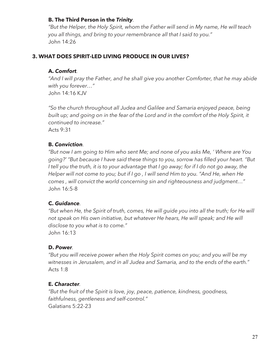### **B. The Third Person in the** *Trinity.*

*"But the Helper, the Holy Spirit, whom the Father will send in My name, He will teach you all things, and bring to your remembrance all that I said to you."*  John 14:26

### **3. WHAT DOES SPIRIT-LED LIVING PRODUCE IN OUR LIVES?**

#### **A.** *Comfort.*

*"And I will pray the Father, and he shall give you another Comforter, that he may abide with you forever…"*  John 14:16 KJV

*"So the church throughout all Judea and Galilee and Samaria enjoyed peace, being built up; and going on in the fear of the Lord and in the comfort of the Holy Spirit, it continued to increase."* 

Acts 9:31

### **B.** *Conviction.*

*"But now I am going to Him who sent Me; and none of you asks Me, ' Where are You going?' "But because I have said these things to you, sorrow has filled your heart. "But*  I tell you the truth, it is to your advantage that I go away; for if I do not go away, the *Helper will not come to you; but if I go , I will send Him to you. "And He, when He comes , will convict the world concerning sin and righteousness and judgment…"*  John 16:5-8

## **C.** *Guidance.*

*"But when He, the Spirit of truth, comes, He will guide you into all the truth; for He will not speak on His own initiative, but whatever He hears, He will speak; and He will disclose to you what is to come."* 

John 16:13

## **D.** *Power.*

*"But you will receive power when the Holy Spirit comes on you; and you will be my witnesses in Jerusalem, and in all Judea and Samaria, and to the ends of the earth."*  Acts 1:8

## **E.** *Character.*

*"But the fruit of the Spirit is love, joy, peace, patience, kindness, goodness, faithfulness, gentleness and self-control."*  Galatians 5:22-23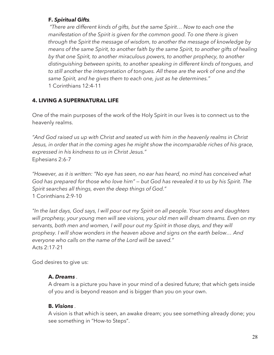### **F.** *Spiritual Gifts.*

*"There are different kinds of gifts, but the same Spirit… Now to each one the manifestation of the Spirit is given for the common good. To one there is given through the Spirit the message of wisdom, to another the message of knowledge by means of the same Spirit, to another faith by the same Spirit, to another gifts of healing by that one Spirit, to another miraculous powers, to another prophecy, to another distinguishing between spirits, to another speaking in different kinds of tongues, and to still another the interpretation of tongues. All these are the work of one and the same Spirit, and he gives them to each one, just as he determines."*  1 Corinthians 12:4-11

## **4. LIVING A SUPERNATURAL LIFE**

One of the main purposes of the work of the Holy Spirit in our lives is to connect us to the heavenly realms.

*"And God raised us up with Christ and seated us with him in the heavenly realms in Christ Jesus, in order that in the coming ages he might show the incomparable riches of his grace, expressed in his kindness to us in Christ Jesus."*  Ephesians 2:6-7

*"However, as it is written: "No eye has seen, no ear has heard, no mind has conceived what God has prepared for those who love him" — but God has revealed it to us by his Spirit. The Spirit searches all things, even the deep things of God."*  1 Corinthians 2:9-10

*"In the last days, God says, I will pour out my Spirit on all people. Your sons and daughters will prophesy, your young men will see visions, your old men will dream dreams. Even on my servants, both men and women, I will pour out my Spirit in those days, and they will prophesy. I will show wonders in the heaven above and signs on the earth below… And everyone who calls on the name of the Lord will be saved."* Acts 2:17-21

God desires to give us:

#### **A.** *Dreams .*

A dream is a picture you have in your mind of a desired future; that which gets inside of you and is beyond reason and is bigger than you on your own.

#### **B.** *Visions .*

A vision is that which is seen, an awake dream; you see something already done; you see something in "How-to Steps".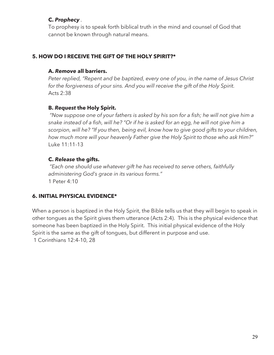## **C.** *Prophecy .*

To prophesy is to speak forth biblical truth in the mind and counsel of God that cannot be known through natural means.

## **5. HOW DO I RECEIVE THE GIFT OF THE HOLY SPIRIT?\***

#### **A.** *Remove* **all barriers.**

*Peter replied, "Repent and be baptized, every one of you, in the name of Jesus Christ for the forgiveness of your sins. And you will receive the gift of the Holy Spirit.*  Acts 2:38

#### **B.** *Request* **the Holy Spirit.**

*"Now suppose one of your fathers is asked by his son for a fish; he will not give him a snake instead of a fish, will he? "Or if he is asked for an egg, he will not give him a scorpion, will he? "If you then, being evil, know how to give good gifts to your children, how much more will your heavenly Father give the Holy Spirit to those who ask Him?"*  Luke 11:11-13

## **C.** *Release* **the gifts.**

*"Each one should use whatever gift he has received to serve others, faithfully administering God's grace in its various forms."*  1 Peter 4:10

## **6. INITIAL PHYSICAL EVIDENCE\***

When a person is baptized in the Holy Spirit, the Bible tells us that they will begin to speak in other tongues as the Spirit gives them utterance (Acts 2:4). This is the physical evidence that someone has been baptized in the Holy Spirit. This initial physical evidence of the Holy Spirit is the same as the gift of tongues, but different in purpose and use.

1 Corinthians 12:4-10, 28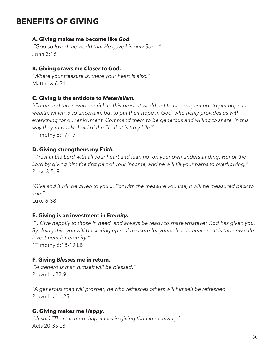## **BENEFITS OF GIVING**

#### **A. Giving makes me become like** *God.*

*"God so loved the world that He gave his only Son..."*  John 3:16

#### **B. Giving draws me** *Closer* **to God.**

*"Where your treasure is, there your heart is also."*  Matthew 6:21

#### **C. Giving is the antidote to** *Materialism.*

*"Command those who are rich in this present world not to be arrogant nor to put hope in wealth, which is so uncertain, but to put their hope in God, who richly provides us with everything for our enjoyment. Command them to be generous and willing to share. In this way they may take hold of the life that is truly Life!"*  1Timothy 6:17-19

### **D. Giving strengthens my** *Faith.*

*"Trust in the Lord with all your heart and lean not on your own understanding. Honor the Lord by giving him the first part of your income, and he will fill your barns to overflowing."*  Prov. 3:5, 9

*"Give and it will be given to you ... For with the measure you use, it will be measured back to you."* 

Luke 6:38

#### **E. Giving is an investment in** *Eternity.*

*"...Give happily to those in need, and always be ready to share whatever God has given you. By doing this, you will be storing up real treasure for yourselves in heaven - it is the only safe investment for eternity."* 

1Timothy 6:18-19 LB

#### **F. Giving** *Blesses* **me in return.**

*"A generous man himself will be blessed."*  Proverbs 22:9

*"A generous man will prosper; he who refreshes others will himself be refreshed."*  Proverbs 11:25

#### **G. Giving makes me** *Happy.*

*(Jesus) "There is more happiness in giving than in receiving."*  Acts 20:35 LB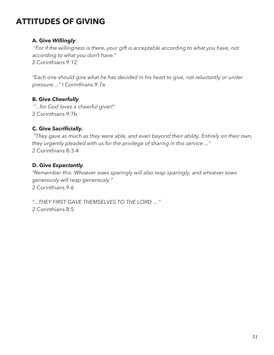## **ATTITUDES OF GIVING**

## **A. Give** *Willingly .*

*"For if the willingness is there, your gift is acceptable according to what you have, not according to what you don't have."*  2 Corinthians 9:12

*"Each one should give what he has decided in his heart to give, not reluctantly or under pressure ..."* I Corinthians 9:7a

## **B. Give** *Cheerfully.*

*"...for God loves a cheerful giver!"*  2 Corinthians 9:7b

## **C. Give** *Sacrificially.*

*"They gave as much as they were able, and even beyond their ability. Entirely on their own, they urgently pleaded with us for the privilege of sharing in this service ..."*  2 Corinthians 8:3-4

## **D. Give** *Expectantly.*

*"Remember this: Whoever sows sparingly will also reap sparingly; and whoever sows generously will reap generously."*  2 Corinthians 9:6

*"...THEY FIRST GAVE THEMSELVES TO THE LORD ... "*

2 Corinthians 8:5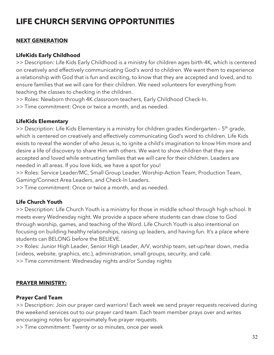## **LIFE CHURCH SERVING OPPORTUNITIES**

## **NEXT GENERATION**

### **LifeKids Early Childhood**

>> Description: Life Kids Early Childhood is a ministry for children ages birth-4K, which is centered on creatively and effectively communicating God's word to children. We want them to experience a relationship with God that is fun and exciting, to know that they are accepted and loved, and to ensure families that we will care for their children. We need volunteers for everything from teaching the classes to checking in the children.

>> Roles: Newborn through 4K classroom teachers, Early Childhood Check-In.

>> Time commitment: Once or twice a month, and as needed.

### **LifeKids Elementary**

 $\gg$  Description: Life Kids Elementary is a ministry for children grades Kindergarten - 5<sup>th</sup> grade, which is centered on creatively and effectively communicating God's word to children. Life Kids exists to reveal the wonder of who Jesus is, to ignite a child's imagination to know Him more and desire a life of discovery to share Him with others. We want to show children that they are accepted and loved while entrusting families that we will care for their children. Leaders are needed in all areas. If you love kids, we have a spot for you!

>> Roles: Service Leader/MC, Small Group Leader, Worship-Action Team, Production Team, Gaming/Connect Area Leaders, and Check-In Leaders.

>> Time commitment: Once or twice a month, and as needed.

## **Life Church Youth**

>> Description: Life Church Youth is a ministry for those in middle school through high school. It meets every Wednesday night. We provide a space where students can draw close to God through worship, games, and teaching of the Word. Life Church Youth is also intentional on focusing on building healthy relationships, raising up leaders, and having fun. It's a place where students can BELONG before the BELIEVE.

>> Roles: Junior High Leader, Senior High Leader, A/V, worship team, set-up/tear down, media (videos, website, graphics, etc.), administration, small groups, security, and café.

>> Time commitment: Wednesday nights and/or Sunday nights

## **PRAYER MINISTRY:**

## **Prayer Card Team**

>> Description: Join our prayer card warriors! Each week we send prayer requests received during the weekend services out to our prayer card team. Each team member prays over and writes encouraging notes for approximately five prayer requests.

>> Time commitment: Twenty or so minutes, once per week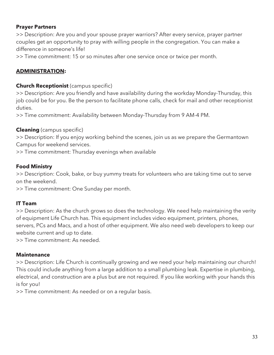### **Prayer Partners**

>> Description: Are you and your spouse prayer warriors? After every service, prayer partner couples get an opportunity to pray with willing people in the congregation. You can make a difference in someone's life!

>> Time commitment: 15 or so minutes after one service once or twice per month.

## **ADMINISTRATION:**

#### **Church Receptionist** (campus specific)

>> Description: Are you friendly and have availability during the workday Monday-Thursday, this job could be for you. Be the person to facilitate phone calls, check for mail and other receptionist duties.

>> Time commitment: Availability between Monday-Thursday from 9 AM-4 PM.

### **Cleaning** (campus specific)

>> Description: If you enjoy working behind the scenes, join us as we prepare the Germantown Campus for weekend services.

>> Time commitment: Thursday evenings when available

### **Food Ministry**

>> Description: Cook, bake, or buy yummy treats for volunteers who are taking time out to serve on the weekend.

>> Time commitment: One Sunday per month.

## **IT Team**

>> Description: As the church grows so does the technology. We need help maintaining the verity of equipment Life Church has. This equipment includes video equipment, printers, phones, servers, PCs and Macs, and a host of other equipment. We also need web developers to keep our website current and up to date.

>> Time commitment: As needed.

#### **Maintenance**

>> Description: Life Church is continually growing and we need your help maintaining our church! This could include anything from a large addition to a small plumbing leak. Expertise in plumbing, electrical, and construction are a plus but are not required. If you like working with your hands this is for you!

>> Time commitment: As needed or on a regular basis.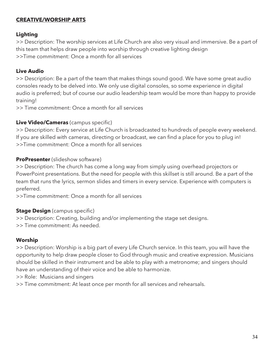### **CREATIVE/WORSHIP ARTS**

#### **Lighting**

>> Description: The worship services at Life Church are also very visual and immersive. Be a part of this team that helps draw people into worship through creative lighting design >>Time commitment: Once a month for all services

### **Live Audio**

>> Description: Be a part of the team that makes things sound good. We have some great audio consoles ready to be delved into. We only use digital consoles, so some experience in digital audio is preferred; but of course our audio leadership team would be more than happy to provide training!

>> Time commitment: Once a month for all services

### **Live Video/Cameras** (campus specific)

>> Description: Every service at Life Church is broadcasted to hundreds of people every weekend. If you are skilled with cameras, directing or broadcast, we can find a place for you to plug in! >>Time commitment: Once a month for all services

### **ProPresenter** (slideshow software)

>> Description: The church has come a long way from simply using overhead projectors or PowerPoint presentations. But the need for people with this skillset is still around. Be a part of the team that runs the lyrics, sermon slides and timers in every service. Experience with computers is preferred.

>>Time commitment: Once a month for all services

## **Stage Design** (campus specific)

>> Description: Creating, building and/or implementing the stage set designs. >> Time commitment: As needed.

#### **Worship**

>> Description: Worship is a big part of every Life Church service. In this team, you will have the opportunity to help draw people closer to God through music and creative expression. Musicians should be skilled in their instrument and be able to play with a metronome; and singers should have an understanding of their voice and be able to harmonize.

>> Role: Musicians and singers

>> Time commitment: At least once per month for all services and rehearsals.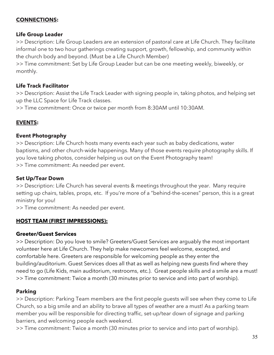## **CONNECTIONS:**

#### **Life Group Leader**

>> Description: Life Group Leaders are an extension of pastoral care at Life Church. They facilitate informal one to two hour gatherings creating support, growth, fellowship, and community within the church body and beyond. (Must be a Life Church Member)

>> Time commitment: Set by Life Group Leader but can be one meeting weekly, biweekly, or monthly.

#### **Life Track Facilitator**

>> Description: Assist the Life Track Leader with signing people in, taking photos, and helping set up the LLC Space for Life Track classes.

>> Time commitment: Once or twice per month from 8:30AM until 10:30AM.

#### **EVENTS:**

#### **Event Photography**

>> Description: Life Church hosts many events each year such as baby dedications, water baptisms, and other church-wide happenings. Many of those events require photography skills. If you love taking photos, consider helping us out on the Event Photography team! >> Time commitment: As needed per event.

#### **Set Up/Tear Down**

>> Description: Life Church has several events & meetings throughout the year. Many require setting up chairs, tables, props, etc. If you're more of a "behind-the-scenes" person, this is a great ministry for you!

>> Time commitment: As needed per event.

#### **HOST TEAM (FIRST IMPRESSIONS):**

#### **Greeter/Guest Services**

>> Description: Do you love to smile? Greeters/Guest Services are arguably the most important volunteer here at Life Church. They help make newcomers feel welcome, excepted, and comfortable here. Greeters are responsible for welcoming people as they enter the building/auditorium. Guest Services does all that as well as helping new guests find where they need to go (Life Kids, main auditorium, restrooms, etc.). Great people skills and a smile are a must! >> Time commitment: Twice a month (30 minutes prior to service and into part of worship).

#### **Parking**

>> Description: Parking Team members are the first people guests will see when they come to Life Church, so a big smile and an ability to brave all types of weather are a must! As a parking team member you will be responsible for directing traffic, set-up/tear down of signage and parking barriers, and welcoming people each weekend.

>> Time commitment: Twice a month (30 minutes prior to service and into part of worship).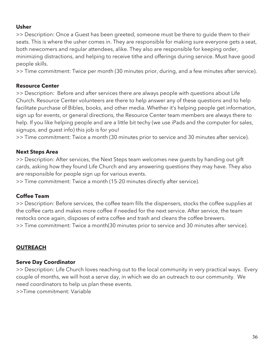### **Usher**

>> Description: Once a Guest has been greeted, someone must be there to guide them to their seats. This is where the usher comes in. They are responsible for making sure everyone gets a seat, both newcomers and regular attendees, alike. They also are responsible for keeping order, minimizing distractions, and helping to receive tithe and offerings during service. Must have good people skills.

>> Time commitment: Twice per month (30 minutes prior, during, and a few minutes after service).

#### **Resource Center**

>> Description: Before and after services there are always people with questions about Life Church. Resource Center volunteers are there to help answer any of these questions and to help facilitate purchase of Bibles, books, and other media. Whether it's helping people get information, sign up for events, or general directions, the Resource Center team members are always there to help. If you like helping people and are a little bit techy (we use iPads and the computer for sales, signups, and guest info) this job is for you!

>> Time commitment: Twice a month (30 minutes prior to service and 30 minutes after service).

### **Next Steps Area**

>> Description: After services, the Next Steps team welcomes new guests by handing out gift cards, asking how they found Life Church and any answering questions they may have. They also are responsible for people sign up for various events.

>> Time commitment: Twice a month (15-20 minutes directly after service).

#### **Coffee Team**

>> Description: Before services, the coffee team fills the dispensers, stocks the coffee supplies at the coffee carts and makes more coffee if needed for the next service. After service, the team restocks once again, disposes of extra coffee and trash and cleans the coffee brewers. >> Time commitment: Twice a month(30 minutes prior to service and 30 minutes after service).

## **OUTREACH**

## **Serve Day Coordinator**

>> Description: Life Church loves reaching out to the local community in very practical ways. Every couple of months, we will host a serve day, in which we do an outreach to our community. We need coordinators to help us plan these events.

>>Time commitment: Variable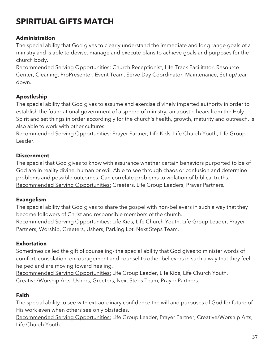## **SPIRITUAL GIFTS MATCH**

### **Administration**

The special ability that God gives to clearly understand the immediate and long range goals of a ministry and is able to devise, manage and execute plans to achieve goals and purposes for the church body.

Recommended Serving Opportunities: Church Receptionist, Life Track Facilitator, Resource Center, Cleaning, ProPresenter, Event Team, Serve Day Coordinator, Maintenance, Set up/tear down.

## **Apostleship**

The special ability that God gives to assume and exercise divinely imparted authority in order to establish the foundational government of a sphere of ministry; an apostle hears from the Holy Spirit and set things in order accordingly for the church's health, growth, maturity and outreach. Is also able to work with other cultures.

Recommended Serving Opportunities: Prayer Partner, Life Kids, Life Church Youth, Life Group Leader.

#### **Discernment**

The special that God gives to know with assurance whether certain behaviors purported to be of God are in reality divine, human or evil. Able to see through chaos or confusion and determine problems and possible outcomes. Can correlate problems to violation of biblical truths. Recommended Serving Opportunities: Greeters, Life Group Leaders, Prayer Partners.

#### **Evangelism**

The special ability that God gives to share the gospel with non-believers in such a way that they become followers of Christ and responsible members of the church. Recommended Serving Opportunities: Life Kids, Life Church Youth, Life Group Leader, Prayer Partners, Worship, Greeters, Ushers, Parking Lot, Next Steps Team.

#### **Exhortation**

Sometimes called the gift of counseling- the special ability that God gives to minister words of comfort, consolation, encouragement and counsel to other believers in such a way that they feel helped and are moving toward healing.

Recommended Serving Opportunities: Life Group Leader, Life Kids, Life Church Youth, Creative/Worship Arts, Ushers, Greeters, Next Steps Team, Prayer Partners.

#### **Faith**

The special ability to see with extraordinary confidence the will and purposes of God for future of His work even when others see only obstacles.

Recommended Serving Opportunities: Life Group Leader, Prayer Partner, Creative/Worship Arts, Life Church Youth.